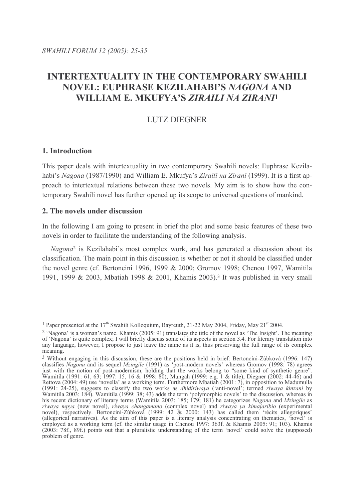# **INTERTEXTUALITY IN THE CONTEMPORARY SWAHILI NOVEL: EUPHRASE KEZILAHABI'S NAGONA AND** WILLIAM E. MKUFYA'S ZIRAILI NA ZIRANJI

# **LUTZ DIEGNER**

### 1. Introduction

This paper deals with intertextuality in two contemporary Swahili novels: Euphrase Kezilahabi's Nagona (1987/1990) and William E. Mkufya's Ziraili na Zirani (1999). It is a first approach to intertextual relations between these two novels. My aim is to show how the contemporary Swahili novel has further opened up its scope to universal questions of mankind.

### 2. The novels under discussion

In the following I am going to present in brief the plot and some basic features of these two novels in order to facilitate the understanding of the following analysis.

Nagona<sup>2</sup> is Kezilahabi's most complex work, and has generated a discussion about its classification. The main point in this discussion is whether or not it should be classified under the novel genre (cf. Bertoncini 1996, 1999 & 2000; Gromov 1998; Chenou 1997, Wamitila 1991, 1999 & 2003, Mbatiah 1998 & 2001, Khamis 2003).<sup>3</sup> It was published in very small

<sup>&</sup>lt;sup>1</sup> Paper presented at the  $17<sup>th</sup>$  Swahili Kolloquium, Bayreuth, 21-22 May 2004, Friday, May 21<sup>st</sup> 2004.

<sup>&</sup>lt;sup>2</sup> 'Nagona' is a woman's name. Khamis (2005: 91) translates the title of the novel as 'The Insight'. The meaning of 'Nagona' is quite complex: I will briefly discuss some of its aspects in section 3.4. For literary translation into any language, however, I propose to just leave the name as it is, thus preserving the full range of its complex meaning.

<sup>&</sup>lt;sup>3</sup> Without engaging in this discussion, these are the positions held in brief: Bertoncini-Zúbková (1996: 147) Without engaging in this discussion, these are the positions held in oriet. Bettonchin-Zuokova (1770, 147)<br>classifies *Nagona* and its sequel *Mzingile* (1991) as 'post-modern novels' whereas Gromov (1998: 78) agrees<br>just (1991: 24-25), suggests to classify the two works as *dhidiriwaya* ('anti-novel'; termed *riwaya kinzani* by Wamitila 2003: 184). Wamitila (1999: 38; 43) adds the term 'polymorphic novel'; termed *riwaya kinzani* by Wamiti riwaya mpya (new novel), riwaya changamano (complex novel) and riwaya ya kimajaribio (experimental novel), respectively. Bertoncini-Zúbková (1999: 42 & 2000: 143) has called them 'récits allegoriques' (allegorical narratives). As the aim of this paper is a literary analysis concentrating on thematics, 'novel' is<br>employed as a working term (cf. the similar usage in Chenou 1997: 363f. & Khamis 2005: 91; 103). Khamis (2003: 78f., 89f.) points out that a pluralistic understanding of the term 'novel' could solve the (supposed) problem of genre.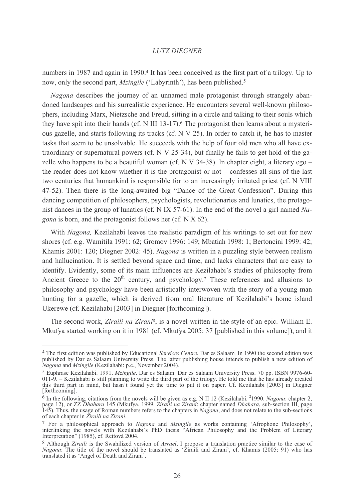numbers in 1987 and again in 1990.<sup>4</sup> It has been conceived as the first part of a trilogy. Up to now, only the second part, *Mzingile* ('Labyrinth'), has been published.<sup>5</sup>

*Nagona* describes the journey of an unnamed male protagonist through strangely abandoned landscapes and his surrealistic experience. He encounters several well-known philosophers, including Marx, Nietzsche and Freud, sitting in a circle and talking to their souls which they have spit into their hands (cf. N III 13-17).<sup>6</sup> The protagonist then learns about a mysterious gazelle, and starts following its tracks (cf. N V 25). In order to catch it, he has to master tasks that seem to be unsolvable. He succeeds with the help of four old men who all have extraordinary or supernatural powers (cf. N V 25-34), but finally he fails to get hold of the gazelle who happens to be a beautiful woman (cf.  $N V$  34-38). In chapter eight, a literary ego – the reader does not know whether it is the protagonist or not  $-$  confesses all sins of the last two centuries that human kind is responsible for to an increasingly irritated priest (cf. N VIII) 47-52). Then there is the long-awaited big "Dance of the Great Confession". During this dancing competition of philosophers, psychologists, revolutionaries and lunatics, the protagonist dances in the group of lunatics (cf. N IX 57-61). In the end of the novel a girl named Na*gona* is born, and the protagonist follows her (cf. N X 62).

With *Nagona*, Kezilahabi leaves the realistic paradigm of his writings to set out for new shores (cf. e.g. Wamitila 1991: 62; Gromov 1996: 149; Mbatiah 1998: 1; Bertoncini 1999: 42; Khamis 2001: 120: Diegner 2002: 45). Nagona is written in a puzzling style between realism and hallucination. It is settled beyond space and time, and lacks characters that are easy to identify. Evidently, some of its main influences are Kezilahabi's studies of philosophy from Ancient Greece to the 20<sup>th</sup> century, and psychology.<sup>7</sup> These references and allusions to philosophy and psychology have been artistically interwoven with the story of a young man hunting for a gazelle, which is derived from oral literature of Kezilahabi's home island Ukerewe (cf. Kezilahabi [2003] in Diegner [forthcoming]).

The second work, Ziraili na Zirani<sup>8</sup>, is a novel written in the style of an epic. William E. Mkufya started working on it in 1981 (cf. Mkufya 2005: 37 [published in this volume]), and it

<sup>&</sup>lt;sup>4</sup> The first edition was published by Educational Services Centre, Dar es Salaam. In 1990 the second edition was published by Dar es Salaam University Press. The latter publishing house intends to publish a new edition of Nagona and Mzingile (Kezilahabi: p.c., November 2004).

<sup>&</sup>lt;sup>5</sup> Euphrase Kezilahabi. 1991. Mzingile. Dar es Salaam: Dar es Salaam University Press. 70 pp. ISBN 9976-60-011-9. – Kezilahabi is still planning to write the third part of the trilogy. He told me that he has already created<br>this third part in mind, but hasn't found yet the time to put it on paper. Cf. Kezilahabi [2003] in Diegn [forthcoming].

 $6$  In the following, citations from the novels will be given as e.g. N II 12 (Kezilahabi.  $2$ 1990. Nagona: chapter 2, page 12), or ZZ Dhahara 145 (Mkufya. 1999. Ziraili na Zirani: chapter named Dhahara, sub-section III, page 145). Thus, the usage of Roman numbers refers to the chapters in Nagona, and does not relate to the sub-sections of each chapter in *Ziraili na Zirani*.

<sup>&</sup>lt;sup>7</sup> For a philosophical approach to *Nagona* and *Mzingile* as works containing 'Afrophone Philosophy', interlinking the novels with Kezilahabi's PhD thesis "African Philosophy and the Problem of Literary Interpretation" (1985), cf. Rettová 2004.

<sup>8</sup> Although Ziraili is the Swahilized version of Asrael, I propose a translation practice similar to the case of Nagona: The title of the novel should be translated as 'Ziraili and Zirani', cf. Khamis (2005: 91) who has translated it as 'Angel of Death and Zirani'.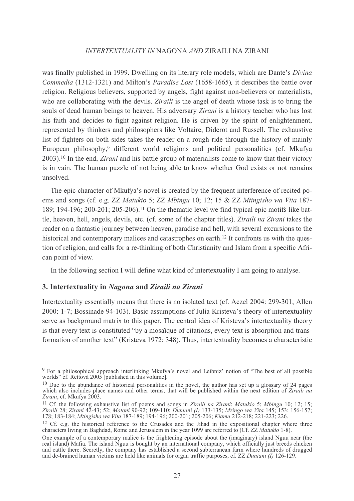was finally published in 1999. Dwelling on its literary role models, which are Dante's Divina Commedia (1312-1321) and Milton's Paradise Lost (1658-1665), it describes the battle over religion. Religious believers, supported by angels, fight against non-believers or materialists, who are collaborating with the devils. *Ziraili* is the angel of death whose task is to bring the souls of dead human beings to heaven. His adversary Zirani is a history teacher who has lost his faith and decides to fight against religion. He is driven by the spirit of enlightenment, represented by thinkers and philosophers like Voltaire, Diderot and Russell. The exhaustive list of fighters on both sides takes the reader on a rough ride through the history of mainly European philosophy,<sup>9</sup> different world religions and political personalities (cf. Mkufya 2003).<sup>10</sup> In the end, *Zirani* and his battle group of materialists come to know that their victory is in vain. The human puzzle of not being able to know whether God exists or not remains unsolved.

The epic character of Mkufya's novel is created by the frequent interference of recited poems and songs (cf. e.g. ZZ Matukio 5; ZZ Mbingu 10; 12; 15 & ZZ Mtingisho wa Vita 187-189; 194-196; 200-201; 205-206).<sup>11</sup> On the thematic level we find typical epic motifs like battle, heaven, hell, angels, devils, etc. (cf. some of the chapter titles). Ziraili na Zirani takes the reader on a fantastic journey between heaven, paradise and hell, with several excursions to the historical and contemporary malices and catastrophes on earth.<sup>12</sup> It confronts us with the question of religion, and calls for a re-thinking of both Christianity and Islam from a specific African point of view.

In the following section I will define what kind of intertextuality I am going to analyse.

### 3. Intertextuality in Nagona and Ziraili na Zirani

Intertextuality essentially means that there is no isolated text (cf. Aczel 2004: 299-301; Allen 2000: 1-7; Bossinade 94-103). Basic assumptions of Julia Kristeva's theory of intertextuality serve as background matrix to this paper. The central idea of Kristeva's intertextuality theory is that every text is constituted "by a mosaïque of citations, every text is absorption and transformation of another text" (Kristeva 1972: 348). Thus, intertextuality becomes a characteristic

<sup>&</sup>lt;sup>9</sup> For a philosophical approach interlinking Mkufva's novel and Leibniz' notion of "The best of all possible" worlds" cf. Rettová 2005 [published in this volume].

 $10$  Due to the abundance of historical personalities in the novel, the author has set up a glossary of 24 pages which also includes place names and other terms, that will be published within the next edition of Ziraili na Zirani, cf. Mkufya 2003.

<sup>&</sup>lt;sup>11</sup> Cf. the following exhaustive list of poems and songs in Ziraili na Zirani: Matukio 5; Mbingu 10; 12; 15; Ziraili 28; Zirani 42-43; 52; Motoni 90-92; 109-110; Duniani (I) 133-135; Mzingo wa Vita 145; 153; 156-157; 178; 183-184; Mtingisho wa Vita 187-189; 194-196; 200-201; 205-206; Kiama 212-218; 221-223; 226.

<sup>&</sup>lt;sup>12</sup> Cf. e.g. the historical reference to the Crusades and the Jihad in the expositional chapter where three characters living in Baghdad, Rome and Jerusalem in the year 1099 are referred to (Cf. ZZ Matukio 1-8).

One example of a contemporary malice is the frightening episode about the (imaginary) island Nguu near (the real island) Mafia. The island Nguu is bought by an international company, which officially just breeds chicken an and de-brained human victims are held like animals for organ traffic purposes, cf. ZZ Duniani (I) 126-129.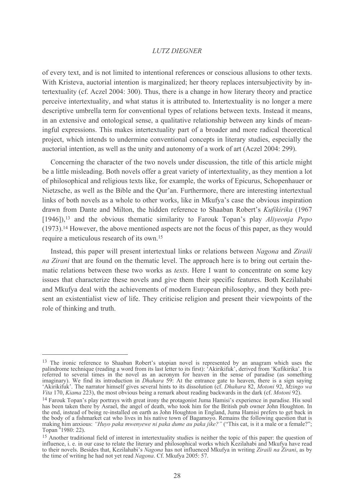of every text, and is not limited to intentional references or conscious allusions to other texts. With Kristeva, auctorial intention is marginalized; her theory replaces intersubjectivity by intertextuality (cf. Aczel 2004: 300). Thus, there is a change in how literary theory and practice perceive intertextuality, and what status it is attributed to. Intertextuality is no longer a mere descriptive umbrella term for conventional types of relations between texts. Instead it means, in an extensive and ontological sense, a qualitative relationship between any kinds of meaningful expressions. This makes intertextuality part of a broader and more radical theoretical project, which intends to undermine conventional concepts in literary studies, especially the auctorial intention, as well as the unity and autonomy of a work of art (Aczel 2004: 299).

Concerning the character of the two novels under discussion, the title of this article might be a little misleading. Both novels offer a great variety of intertextuality, as they mention a lot of philosophical and religious texts like, for example, the works of Epicurus, Schopenhauer or Nietzsche, as well as the Bible and the Qur'an. Furthermore, there are interesting intertextual links of both novels as a whole to other works, like in Mkufya's case the obvious inspiration drawn from Dante and Milton, the hidden reference to Shaaban Robert's Kufikirika (1967)  $[1946]$ ,  $[13]$  and the obvious thematic similarity to Farouk Topan's play *Aliveonia Pepo*  $(1973).$ <sup>14</sup> However, the above mentioned aspects are not the focus of this paper, as they would require a meticulous research of its own.<sup>15</sup>

Instead, this paper will present intertextual links or relations between Nagona and Ziraili na Zirani that are found on the thematic level. The approach here is to bring out certain thematic relations between these two works as *texts*. Here I want to concentrate on some key issues that characterize these novels and give them their specific features. Both Kezilahabi and Mkufya deal with the achievements of modern European philosophy, and they both present an existentialist view of life. They criticise religion and present their viewpoints of the role of thinking and truth.

<sup>&</sup>lt;sup>13</sup> The ironic reference to Shaaban Robert's utopian novel is represented by an anagram which uses the palindrome technique (reading a word from its last letter to its first): 'Akirikifuk', derived from 'Kufikirika'. It is referred to several times in the novel as an acronym for heaven in the sense of paradise (as something imaginary). We find its introduction in *Dhahara* 59: At the entrance gate to heaven, there is a sign saying 'Akirikifuk'. The narrator himself gives several hints to its dissolution (cf. *Dhahara* 82, *Motoni* 92, *Mzingo* Vita 170, Kiama 223), the most obvious being a remark about reading backwards in the dark (cf. Motoni 92).

<sup>&</sup>lt;sup>14</sup> Farouk Topan's play portrays with great irony the protagonist Juma Hamisi's experience in paradise. His soul has been taken there by Asrael, the angel of death, who took him for the British pub owner John Houghton. In the end, instead of being re-installed on earth as John Houghton in England, Juma Hamisi prefers to get back in the body of a fishmarket cat who lives in his native town of Bagamoyo. Remains the following question that is making him anxious: "Huyo paka mwenyewe ni paka dume au paka jike?" ("This cat, is it a male or a female?"; Topa

<sup>&</sup>lt;sup>15</sup> Another traditional field of interest in intertextuality studies is neither the topic of this paper: the question of influence, i. e. in our case to relate the literary and philosophical works which Kezilahabi and Mkufya have read to their novels. Besides that, Kezilahabi's Nagona has not influenced Mkufya in writing Ziraili na Zirani, as by the time of writing he had not yet read *Nagona*. Cf. Mkufya 2005: 57.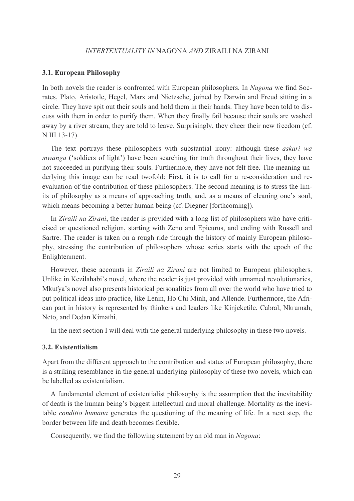#### **3.1. European Philosophy**

In both novels the reader is confronted with European philosophers. In Nagona we find Socrates, Plato, Aristotle, Hegel, Marx and Nietzsche, joined by Darwin and Freud sitting in a circle. They have spit out their souls and hold them in their hands. They have been told to discuss with them in order to purify them. When they finally fail because their souls are washed away by a river stream, they are told to leave. Surprisingly, they cheer their new freedom (cf. N III 13-17).

The text portrays these philosophers with substantial irony: although these *askari wa mwanga* ('soldiers of light') have been searching for truth throughout their lives, they have not succeeded in purifying their souls. Furthermore, they have not felt free. The meaning underlying this image can be read twofold: First, it is to call for a re-consideration and reevaluation of the contribution of these philosophers. The second meaning is to stress the limits of philosophy as a means of approaching truth, and, as a means of cleaning one's soul, which means becoming a better human being (cf. Diegner [forthcoming]).

In *Ziraili na Zirani*, the reader is provided with a long list of philosophers who have criticised or questioned religion, starting with Zeno and Epicurus, and ending with Russell and Sartre. The reader is taken on a rough ride through the history of mainly European philosophy, stressing the contribution of philosophers whose series starts with the epoch of the Enlightenment.

However, these accounts in Ziraili na Zirani are not limited to European philosophers. Unlike in Kezilahabi's novel, where the reader is just provided with unnamed revolutionaries, Mkufya's novel also presents historical personalities from all over the world who have tried to put political ideas into practice, like Lenin, Ho Chi Minh, and Allende. Furthermore, the African part in history is represented by thinkers and leaders like Kinjeketile, Cabral, Nkrumah, Neto, and Dedan Kimathi.

In the next section I will deal with the general underlying philosophy in these two novels.

#### 3.2. Existentialism

Apart from the different approach to the contribution and status of European philosophy, there is a striking resemblance in the general underlying philosophy of these two novels, which can be labelled as existentialism.

A fundamental element of existentialist philosophy is the assumption that the inevitability of death is the human being's biggest intellectual and moral challenge. Mortality as the inevitable *conditio humana* generates the questioning of the meaning of life. In a next step, the border between life and death becomes flexible.

Consequently, we find the following statement by an old man in Nagona: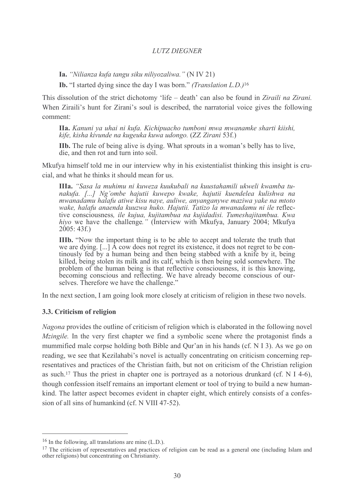Ia. "Nilianza kufa tangu siku niliyozaliwa." (N IV 21)

**Ib.** "I started dying since the day I was born." *(Translation L.D.*)<sup>16</sup>

This dissolution of the strict dichotomy 'life – death' can also be found in Ziraili na Zirani. When Ziraili's hunt for Zirani's soul is described, the narratorial voice gives the following comment:

**IIa.** Kanuni ya uhai ni kufa. Kichipuacho tumboni mwa mwanamke sharti kiishi. kife, kisha kivunde na kugeuka kuwa udongo. (ZZ Zirani 53f.)

**IIb.** The rule of being alive is dying. What sprouts in a woman's belly has to live, die, and then rot and turn into soil.

Mkufya himself told me in our interview why in his existentialist thinking this insight is crucial, and what he thinks it should mean for us.

**IIIa.** "Sasa la muhimu ni kuweza kuukubali na kuustahamili ukweli kwamba tunakufa. [...] Ng'ombe hajutii kuwepo kwake, hajutii kuendelea kulishwa na mwanadamu halafu atiwe kisu naye, auliwe, anyanganywe maziwa yake na mtoto wake, halafu anaenda kuuzwa huko. Hajutii. Tatizo la mwanadamu ni ile reflective consciousness, ile kujua, kujitambua na kujidadisi. Tumeshajitambua. Kwa hiyo we have the challenge." (Interview with Mkufya, January 2004; Mkufya  $2005:43f.$ 

**IIIb.** "Now the important thing is to be able to accept and tolerate the truth that we are dying. [...] A cow does not regret its existence, it does not regret to be continously fed by a human being and then being stabbed with a knife by it, being killed, being stolen its milk and its calf, which is then being sold somewhere. The problem of the human being is that reflective consciousness, it is this knowing, becoming conscious and reflecting. We have already become conscious of ourselves. Therefore we have the challenge."

In the next section, I am going look more closely at criticism of religion in these two novels.

#### 3.3. Criticism of religion

Nagona provides the outline of criticism of religion which is elaborated in the following novel *Mzingile*. In the very first chapter we find a symbolic scene where the protagonist finds a mummified male corpse holding both Bible and Qur'an in his hands (cf. N I 3). As we go on reading, we see that Kezilahabi's novel is actually concentrating on criticism concerning representatives and practices of the Christian faith, but not on criticism of the Christian religion as such.<sup>17</sup> Thus the priest in chapter one is portraved as a notorious drunkard (cf. N I 4-6). though confession itself remains an important element or tool of trying to build a new humankind. The latter aspect becomes evident in chapter eight, which entirely consists of a confession of all sins of humankind (cf. N VIII 47-52).

 $16$  In the following, all translations are mine (L.D.).

<sup>&</sup>lt;sup>17</sup> The criticism of representatives and practices of religion can be read as a general one (including Islam and other religions) but concentrating on Christianity.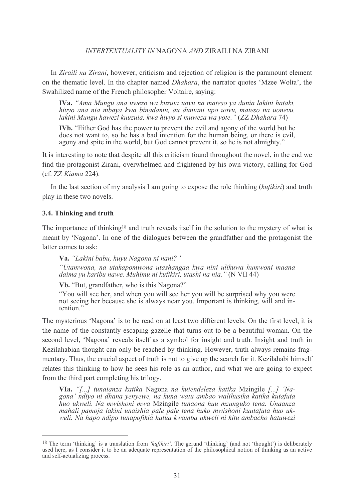In Ziraili na Zirani, however, criticism and rejection of religion is the paramount element on the thematic level. In the chapter named *Dhahara*, the narrator quotes 'Mzee Wolta', the Swahilized name of the French philosopher Voltaire, saving:

IVa. "Ama Mungu ana uwezo wa kuzuia uovu na mateso ya dunia lakini hataki, hivyo ana nia mbaya kwa binadamu, au duniani upo uovu, mateso na uonevu, lakini Mungu hawezi kuuzuia, kwa hivyo si muweza wa yote." (ZZ Dhahara 74)

**IVb.** "Either God has the power to prevent the evil and agony of the world but he does not want to, so he has a bad intention for the human being, or there is evil, agony and spite in the world, but God cannot prevent it, so he is not almighty."

It is interesting to note that despite all this criticism found throughout the novel, in the end we find the protagonist Zirani, overwhelmed and frightened by his own victory, calling for God (cf. ZZ Kiama 224).

In the last section of my analysis I am going to expose the role thinking (kufikiri) and truth play in these two novels.

### 3.4. Thinking and truth

The importance of thinking<sup>18</sup> and truth reveals itself in the solution to the mystery of what is meant by 'Nagona'. In one of the dialogues between the grandfather and the protagonist the latter comes to ask:

Va. "Lakini babu, huvu Nagona ni nani?" "Utamwona, na utakapomwona utashangaa kwa nini ulikuwa humwoni maana daima yu karibu nawe. Muhimu ni kufikiri, utashi na nia." (N VII 44)

Vb. "But, grandfather, who is this Nagona?"

"You will see her, and when you will see her you will be surprised why you were not seeing her because she is always near you. Important is thinking, will and intention."

The mysterious 'Nagona' is to be read on at least two different levels. On the first level, it is the name of the constantly escaping gazelle that turns out to be a beautiful woman. On the second level, 'Nagona' reveals itself as a symbol for insight and truth. Insight and truth in Kezilahabian thought can only be reached by thinking. However, truth always remains fragmentary. Thus, the crucial aspect of truth is not to give up the search for it. Kezilahabi himself relates this thinking to how he sees his role as an author, and what we are going to expect from the third part completing his trilogy.

VIa. "[...] tunaianza katika Nagona na kuiendeleza katika Mzingile [...] 'Nagona' ndiyo ni dhana yenyewe, na kuna watu ambao walihusika katika kutafuta huo ukweli. Na mwishoni mwa Mzingile tunaona huu mzunguko tena. Unaanza mahali pamoja lakini unaishia pale pale tena huko mwishoni kuutafuta huo ukweli. Na hapo ndipo tunapofikia hatua kwamba ukweli ni kitu ambacho hatuwezi

<sup>&</sup>lt;sup>18</sup> The term 'thinking' is a translation from 'kufikiri'. The gerund 'thinking' (and not 'thought') is deliberately used here, as I consider it to be an adequate representation of the philosophical notion of thinking as an active and self-actualizing process.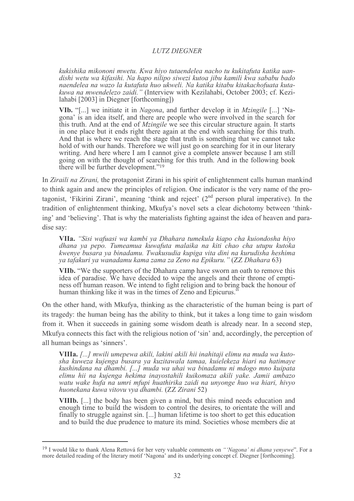kukishika mikononi mwetu. Kwa hivo tutaendelea nacho tu kukitafuta katika uandishi wetu wa kifasihi. Na hapo nilipo siwezi kutoa jibu kamili kwa sababu bado naendelea na wazo la kutafuta huo ukweli. Na katika kitabu kitakachofuata kutakuwa na mwendelezo zaidi." (Interview with Kezilahabi, October 2003; cf. Kezilahabi [2003] in Diegner [forthcoming])

VIb. "[...] we initiate it in Nagona, and further develop it in Mzingile [...] 'Nagona' is an idea itself, and there are people who were involved in the search for this truth. And at the end of *Mzingile* we see this circular structure again. It starts in one place but it ends right there again at the end with searching for this truth. And that is where we reach the stage that truth is something that we cannot take hold of with our hands. Therefore we will just go on searching for it in our literary writing. And here where I am I cannot give a complete answer because I am still going on with the thought of searching for this truth. And in the following book there will be further development."<sup>19</sup>

In Ziraili na Zirani, the protagonist Zirani in his spirit of enlightenment calls human mankind to think again and anew the principles of religion. One indicator is the very name of the protagonist, 'Fikirini Zirani', meaning 'think and reject'  $(2<sup>nd</sup>$  person plural imperative). In the tradition of enlightenment thinking. Mkufva's novel sets a clear dichotomy between 'thinking' and 'believing'. That is why the materialists fighting against the idea of heaven and paradise say:

VIIa. "Sisi wafuasi wa kambi ya Dhahara tumekula kiapo cha kuiondosha hiyo dhana ya pepo. Tumeamua kuwafuta malaika na kiti chao cha utupu kutoka kwenye busara ya binadamu. Twakusudia kupiga vita dini na kurudisha heshima ya tafakuri ya wanadamu kama zama za Zeno na Epikuru." (ZZ Dhahara 63)

VIIb. "We the supporters of the Dhahara camp have sworn an oath to remove this idea of paradise. We have decided to wipe the angels and their throne of emptiness off human reason. We intend to fight religion and to bring back the honour of human thinking like it was in the times of Zeno and Epicurus.

On the other hand, with Mkufya, thinking as the characteristic of the human being is part of its tragedy: the human being has the ability to think, but it takes a long time to gain wisdom from it. When it succeeds in gaining some wisdom death is already near. In a second step, Mkufya connects this fact with the religious notion of 'sin' and, accordingly, the perception of all human beings as 'sinners'.

VIIIa. [...] mwili umepewa akili, lakini akili hii inahitaji elimu na muda wa kutosha kuweza kujenga busara ya kuzitawala tamaa, kuielekeza hiari na hatimaye kushindana na dhambi. [...] muda wa uhai wa binadamu ni mdogo mno kuipata elimu hii na kujenga hekima inavostahili kuikomaza akili vake. Jamii ambazo watu wake hufa na umri mfupi huathirika zaidi na unyonge huo wa hiari, hivyo huonekana kuwa vitovu vya dhambi. (ZZ Zirani 52)

VIIIb. [...] the body has been given a mind, but this mind needs education and enough time to build the wisdom to control the desires, to orientate the will and finally to struggle against sin. [...] human lifetime is too short to get this education and to build the due prudence to mature its mind. Societies whose members die at

<sup>&</sup>lt;sup>19</sup> I would like to thank Alena Rettová for her very valuable comments on "*Nagona' ni dhana yenyewe*". For a more detailed reading of the literary motif 'Nagona' and its underlying concept cf. Diegner [forthcoming].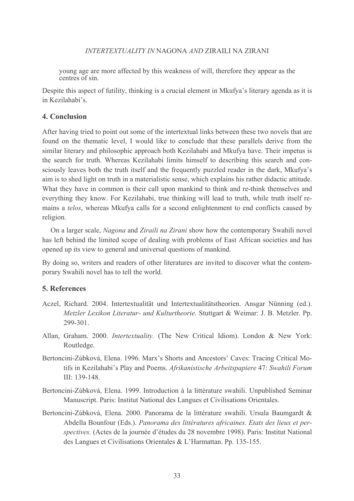young age are more affected by this weakness of will, therefore they appear as the centres of sin.

Despite this aspect of futility, thinking is a crucial element in Mkufya's literary agenda as it is in Kezilahabi's.

## 4. Conclusion

After having tried to point out some of the intertextual links between these two novels that are found on the thematic level, I would like to conclude that these parallels derive from the similar literary and philosophic approach both Kezilahabi and Mkufya have. Their impetus is the search for truth. Whereas Kezilahabi limits himself to describing this search and consciously leaves both the truth itself and the frequently puzzled reader in the dark, Mkufya's aim is to shed light on truth in a materialistic sense, which explains his rather didactic attitude. What they have in common is their call upon mankind to think and re-think themselves and everything they know. For Kezilahabi, true thinking will lead to truth, while truth itself remains a telos, whereas Mkufya calls for a second enlightenment to end conflicts caused by religion.

On a larger scale, Nagona and Ziraili na Zirani show how the contemporary Swahili novel has left behind the limited scope of dealing with problems of East African societies and has opened up its view to general and universal questions of mankind.

By doing so, writers and readers of other literatures are invited to discover what the contemporary Swahili novel has to tell the world.

### 5. References

- Aczel, Richard. 2004. Intertextualität und Intertextualitätstheorien. Ansgar Nünning (ed.). Metzler Lexikon Literatur- und Kulturtheorie. Stuttgart & Weimar: J. B. Metzler. Pp. 299-301
- Allan, Graham. 2000. Intertextuality. (The New Critical Idiom). London & New York: Routledge.
- Bertoncini-Zúbková, Elena. 1996. Marx's Shorts and Ancestors' Caves: Tracing Critical Motifs in Kezilahabi's Play and Poems. Afrikanistische Arbeitspapiere 47: Swahili Forum III: 139-148.
- Bertoncini-Zúbková, Elena. 1999. Introduction à la littérature swahili. Unpublished Seminar Manuscript. Paris: Institut National des Langues et Civilisations Orientales.
- Bertoncini-Zúbková, Elena. 2000. Panorama de la littérature swahili. Ursula Baumgardt & Abdella Bounfour (Eds.). Panorama des littératures africaines. Etats des lieux et perspectives. (Actes de la journée d'études du 28 novembre 1998). Paris: Institut National des Langues et Civilisations Orientales & L'Harmattan. Pp. 135-155.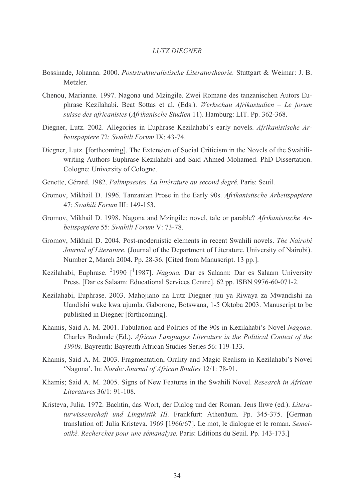- Bossinade, Johanna. 2000. Poststrukturalistische Literaturtheorie. Stuttgart & Weimar: J. B. Metzler
- Chenou, Marianne. 1997. Nagona und Mzingile. Zwei Romane des tanzanischen Autors Euphrase Kezilahabi. Beat Sottas et al. (Eds.). Werkschau Afrikastudien - Le forum suisse des africanistes (Afrikanische Studien 11). Hamburg: LIT. Pp. 362-368.
- Diegner, Lutz. 2002. Allegories in Euphrase Kezilahabi's early novels. Afrikanistische Arbeitspapiere 72: Swahili Forum IX: 43-74.
- Diegner, Lutz. [forthcoming]. The Extension of Social Criticism in the Novels of the Swahiliwriting Authors Euphrase Kezilahabi and Said Ahmed Mohamed. PhD Dissertation. Cologne: University of Cologne.
- Genette, Gérard. 1982. Palimpsestes. La littérature au second degré. Paris: Seuil.
- Gromov, Mikhail D. 1996. Tanzanian Prose in the Early 90s. Afrikanistische Arbeitspapiere 47: Swahili Forum III: 149-153.
- Gromov, Mikhail D. 1998. Nagona and Mzingile: novel, tale or parable? Afrikanistische Arbeitspapiere 55: Swahili Forum V: 73-78.
- Gromov, Mikhail D. 2004. Post-modernistic elements in recent Swahili novels. The Nairobi Journal of Literature. (Journal of the Department of Literature, University of Nairobi). Number 2, March 2004. Pp. 28-36. [Cited from Manuscript. 13 pp.].
- Kezilahabi, Euphrase. <sup>2</sup>1990 <sup>[1</sup>1987]. Nagona. Dar es Salaam: Dar es Salaam University Press. [Dar es Salaam: Educational Services Centre]. 62 pp. ISBN 9976-60-071-2.
- Kezilahabi, Euphrase. 2003. Mahojiano na Lutz Diegner juu ya Riwaya za Mwandishi na Uandishi wake kwa ujumla. Gaborone, Botswana, 1-5 Oktoba 2003. Manuscript to be published in Diegner [forthcoming].
- Khamis, Said A. M. 2001. Fabulation and Politics of the 90s in Kezilahabi's Novel Nagona. Charles Bodunde (Ed.). African Languages Literature in the Political Context of the 1990s. Bayreuth: Bayreuth African Studies Series 56: 119-133.
- Khamis, Said A. M. 2003. Fragmentation, Orality and Magic Realism in Kezilahabi's Novel 'Nagona'. In: Nordic Journal of African Studies 12/1: 78-91.
- Khamis; Said A. M. 2005. Signs of New Features in the Swahili Novel. Research in African Literatures 36/1: 91-108.
- Kristeva, Julia. 1972. Bachtin, das Wort, der Dialog und der Roman. Jens Ihwe (ed.). Literaturwissenschaft und Linguistik III. Frankfurt: Athenäum. Pp. 345-375. [German] translation of: Julia Kristeva. 1969 [1966/67]. Le mot, le dialogue et le roman. Semeiotikè. Recherches pour une sémanalyse. Paris: Editions du Seuil. Pp. 143-173.]